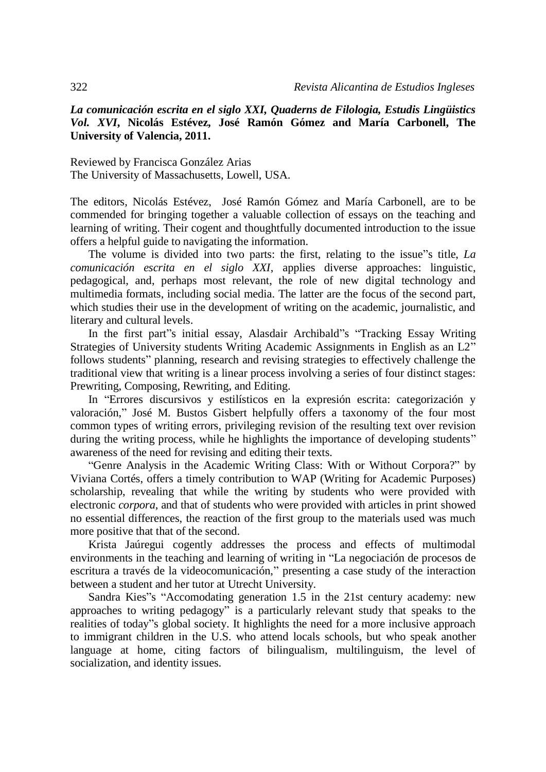## *La comunicación escrita en el siglo XXI, Quaderns de Filologia, Estudis Lingüistics Vol. XVI***, Nicolás Estévez, José Ramón Gómez and María Carbonell, The University of Valencia, 2011.**

Reviewed by Francisca González Arias The University of Massachusetts, Lowell, USA.

The editors, Nicolás Estévez, José Ramón Gómez and María Carbonell, are to be commended for bringing together a valuable collection of essays on the teaching and learning of writing. Their cogent and thoughtfully documented introduction to the issue offers a helpful guide to navigating the information.

The volume is divided into two parts: the first, relating to the issue"s title, *La comunicación escrita en el siglo XXI*, applies diverse approaches: linguistic, pedagogical, and, perhaps most relevant, the role of new digital technology and multimedia formats, including social media. The latter are the focus of the second part, which studies their use in the development of writing on the academic, journalistic, and literary and cultural levels.

In the first part"s initial essay, Alasdair Archibald"s "Tracking Essay Writing Strategies of University students Writing Academic Assignments in English as an L2" follows students" planning, research and revising strategies to effectively challenge the traditional view that writing is a linear process involving a series of four distinct stages: Prewriting, Composing, Rewriting, and Editing.

In "Errores discursivos y estilísticos en la expresión escrita: categorización y valoración," José M. Bustos Gisbert helpfully offers a taxonomy of the four most common types of writing errors, privileging revision of the resulting text over revision during the writing process, while he highlights the importance of developing students" awareness of the need for revising and editing their texts.

"Genre Analysis in the Academic Writing Class: With or Without Corpora?" by Viviana Cortés, offers a timely contribution to WAP (Writing for Academic Purposes) scholarship, revealing that while the writing by students who were provided with electronic *corpora*, and that of students who were provided with articles in print showed no essential differences, the reaction of the first group to the materials used was much more positive that that of the second.

Krista Jaúregui cogently addresses the process and effects of multimodal environments in the teaching and learning of writing in "La negociación de procesos de escritura a través de la videocomunicación," presenting a case study of the interaction between a student and her tutor at Utrecht University.

Sandra Kies"s "Accomodating generation 1.5 in the 21st century academy: new approaches to writing pedagogy" is a particularly relevant study that speaks to the realities of today"s global society. It highlights the need for a more inclusive approach to immigrant children in the U.S. who attend locals schools, but who speak another language at home, citing factors of bilingualism, multilinguism, the level of socialization, and identity issues.